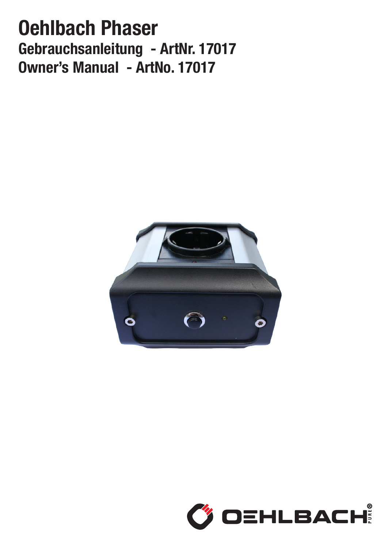# Oehlbach Phaser Gebrauchsanleitung - ArtNr. 17017 Owner's Manual - ArtNo. 17017



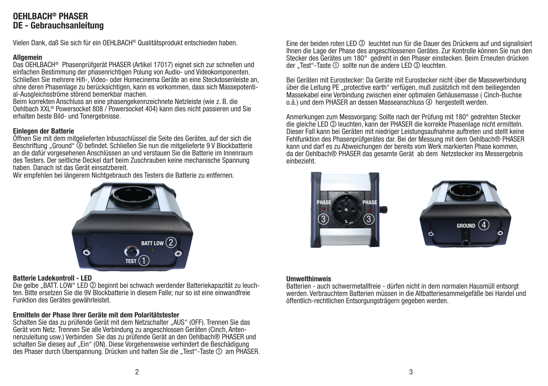# OFHI RACH<sup>®</sup> PHASFR DE - Gebrauchsanleitung

Vielen Dank, daß Sie sich für ein OEHLBACH® Qualitätsprodukt entschieden haben.

#### **Allgemein**

Das OEHLBACH® Phasenprüfgerät PHASER (Artikel 17017) eignet sich zur schnellen und einfachen Bestimmung der phasenrichtigen Polung von Audio- und Videokomponenten. Schließen Sie mehrere Hifi-, Video- oder Homecinema Geräte an eine Steckdosenleiste an, ohne deren Phasenlage zu berücksichtigen, kann es vorkommen, dass sich Massepotential-Ausgleichsströme störend bemerkbar machen.

Beim korrekten Anschluss an eine phasengekennzeichnete Netzleiste (wie z. B. die Oehlbach XXL® Powersocket 808 / Powersocket 404) kann dies nicht passieren und Sie erhalten beste Bild- und Tonergebnisse.

#### Einlegen der Batterie

Öffnen Sie mit dem mitgelieferten Inbusschlüssel die Seite des Gerätes, auf der sich die Beschriftung "Ground" (4) befindet. Schließen Sie nun die mitgelieferte 9 V Blockbatterie an die dafür vorgesehenen Anschlüssen an und verstauen Sie die Batterie im Innenraum des Testers. Der seitliche Deckel darf beim Zuschrauben keine mechanische Spannung haben. Danach ist das Gerät einsatzbereit.

Wir empfehlen bei längerem Nichtgebrauch des Testers die Batterie zu entfernen.



#### Batterie Ladekontroll - LED

Die gelbe "BATT. LOW" LED 2 beginnt bei schwach werdender Batteriekapazität zu leuchten. Bitte ersetzen Sie die 9V Blockbatterie in diesem Falle; nur so ist eine einwandfreie Funktion des Gerätes gewährleistet.

#### Ermitteln der Phase Ihrer Geräte mit dem Polaritätstester

Schalten Sie das zu prüfende Gerät mit dem Netzschalter "AUS" (OFF). Trennen Sie das Gerät vom Netz. Trennen Sie alle Verbindung zu angeschlossen Geräten (Cinch, Antennenzuleitung usw.) Verbinden Sie das zu prüfende Gerät an den Oehlbach® PHASER und schalten Sie dieses auf "Ein" (ON). Diese Vorgehensweise verhindert die Beschädigung des Phaser durch Überspannung. Drücken und halten Sie die "Test"-Taste  $\mathbb O$  am PHASER. Eine der beiden roten LED 3 leuchtet nun für die Dauer des Drückens auf und signalisiert Ihnen die Lage der Phase des angeschlossenen Gerätes. Zur Kontrolle können Sie nun den Stecker des Gerätes um 180° gedreht in den Phaser einstecken. Beim Erneuten drücken der ... Test "-Taste  $\odot$  sollte nun die andere LED  $\odot$  leuchten.

Bei Geräten mit Eurostecker: Da Geräte mit Eurostecker nicht über die Masseverbindung über die Leitung PE "protective earth" verfügen, muß zusätzlich mit dem beiliegenden Massekabel eine Verbindung zwischen einer optimalen Gehäusemasse ( Cinch-Buchse o.ä.) und dem PHASER an dessen Masseanschluss 4 hergestellt werden.

Anmerkungen zum Messvorgang: Sollte nach der Prüfung mit 180° gedrehten Stecker die gleiche LED 3 leuchten, kann der PHASER die korrekte Phasenlage nicht ermitteln. Dieser Fall kann bei Geräten mit niedriger Leistungsaufnahme auftreten und stellt keine Fehlfunktion des Phasenprüfgerätes dar. Bei der Messung mit dem Oehlbach® PHASER kann und darf es zu Abweichungen der bereits vom Werk markierten Phase kommen, da der Oehlbach® PHASER das gesamte Gerät ab dem Netzstecker ins Messergebnis einbezieht.





#### Umwelthinweis

Batterien - auch schwermetallfreie - dürfen nicht in dem normalen Hausmüll entsorgt werden. Verbrauchtem Batterien müssen in die Altbatteriesammelgefäße bei Handel und öffentlich-rechtlichen Entsorgungsträgern gegeben werden.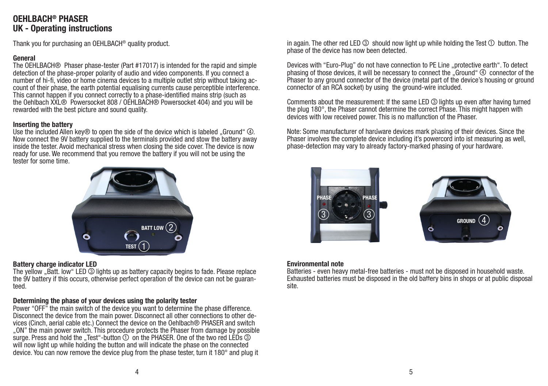# **OEHLBACH® PHASER** UK - Operating instructions

Thank you for purchasing an OEHLBACH® quality product.

### General

The OEHLBACH® Phaser phase-tester (Part #17017) is intended for the rapid and simple detection of the phase-proper polarity of audio and video components. If you connect a number of hi-fi, video or home cinema devices to a multiple outlet strip without taking account of their phase, the earth potential equalising currents cause perceptible interference. This cannot happen if you connect correctly to a phase-identified mains strip (such as the Oehlbach XXL® Powersocket 808 / OEHLBACH® Powersocket 404) and you will be rewarded with the best picture and sound quality.

### Inserting the battery

Use the included Allen key® to open the side of the device which is labeled . Ground " $\omega$ . Now connect the 9V battery supplied to the terminals provided and stow the battery away inside the tester. Avoid mechanical stress when closing the side cover. The device is now ready for use. We recommend that you remove the battery if you will not be using the tester for some time.



#### Battery charge indicator LED

The yellow ..Batt. low "LED 3 lights up as battery capacity begins to fade. Please replace the 9V battery if this occurs, otherwise perfect operation of the device can not be guaranteed.

### Determining the phase of your devices using the polarity tester

Power "OFF" the main switch of the device you want to determine the phase difference. Disconnect the device from the main power. Disconnect all other connections to other devices (Cinch, aerial cable etc.) Connect the device on the Oehlbach® PHASER and switch "ON" the main power switch. This procedure protects the Phaser from damage by possible surge. Press and hold the . Test "-button  $\odot$  on the PHASER. One of the two red LEDs  $\odot$ will now light up while holding the button and will indicate the phase on the connected device. You can now remove the device plug from the phase tester, turn it 180° and plug it

in again. The other red LED  $\circled{3}$  should now light up while holding the Test  $\circled{1}$  button. The phase of the device has now been detected.

Devices with "Euro-Plug" do not have connection to PE Line "protective earth". To detect phasing of those devices, it will be necessary to connect the "Ground"  $\circledA$  connector of the Phaser to any ground connector of the device (metal part of the device's housing or ground connector of an RCA socket) by using the ground-wire included.

Comments about the measurement: If the same LED 3 lights up even after having turned the plug 180°, the Phaser cannot determine the correct Phase. This might happen with devices with low received power. This is no malfunction of the Phaser.

Note: Some manufacturer of hardware devices mark phasing of their devices. Since the Phaser involves the complete device including it's powercord into ist measuring as well, phase-detection may vary to already factory-marked phasing of your hardware.





#### Environmental note

Batteries - even heavy metal-free batteries - must not be disposed in household waste. Exhausted batteries must be disposed in the old battery bins in shops or at public disposal site.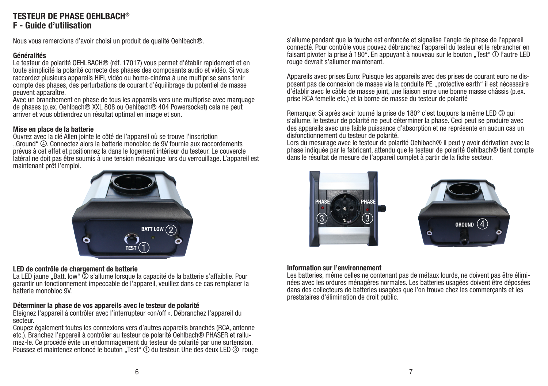### TESTEUR DE PHASE OFHI RACH® F - Guide d'utilisation

Nous vous remercions d'avoir choisi un produit de qualité Oehlbach®.

#### Généralités

Le testeur de polarité OEHLBACH® (réf. 17017) vous permet d'établir rapidement et en toute simplicité la polarité correcte des phases des composants audio et vidéo. Si vous raccordez plusieurs appareils HiFi, vidéo ou home-cinéma à une multiprise sans tenir compte des phases, des perturbations de courant d'équilibrage du potentiel de masse peuvent apparaître.

Avec un branchement en phase de tous les appareils vers une multiprise avec marquage de phases (p.ex. Oehlbach® XXL 808 ou Oehlbach® 404 Powersocket) cela ne peut arriver et vous obtiendrez un résultat optimal en image et son.

#### Mise en place de la batterie

Ouvrez avec la clé Allen jointe le côté de l'appareil où se trouve l'inscription "Ground" 4 . Connectez alors la batterie monobloc de 9V fournie aux raccordements prévus à cet effet et positionnez la dans le logement intérieur du testeur. Le couvercle latéral ne doit pas être soumis à une tension mécanique lors du verrouillage. L'appareil est maintenant prêt l'emploi.



### LED de contrôle de chargement de batterie

La LED jaune ..Batt. low"  $\ddot{\textcircled{}}$  s'allume lorsque la capacité de la batterie s'affaiblie. Pour garantir un fonctionnement impeccable de l'appareil, veuillez dans ce cas remplacer la batterie monobloc 9V.

### Déterminer la phase de vos appareils avec le testeur de polarité

Eteignez l'appareil à contrôler avec l'interrupteur «on/off ». Débranchez l'appareil du secteur.

Coupez également toutes les connexions vers d'autres appareils branchés (RCA, antenne etc.). Branchez l'appareil à contrôler au testeur de polarité Oehlbach® PHASER et rallumez-le. Ce procédé évite un endommagement du testeur de polarité par une surtension. Poussez et maintenez enfoncé le bouton "Test" ① du testeur. Une des deux LED 3 rouge s'allume pendant que la touche est enfoncée et signalise l'angle de phase de l'appareil connecté. Pour contrôle vous pouvez débranchez l'appareil du testeur et le rebrancher en faisant pivoter la prise à 180 $^{\circ}$ . En appuyant à nouveau sur le bouton . Test  $^{\circ}$   $\circ$  l'autre LED rouge devrait s'allumer maintenant.

Appareils avec prises Euro: Puisque les appareils avec des prises de courant euro ne disposent pas de connexion de masse via la conduite PE ..protective earth il est nécessaire d'établir avec le câble de masse joint, une liaison entre une bonne masse châssis (p.ex. prise RCA femelle etc.) et la borne de masse du testeur de polarité

Remarque: Si après avoir tourné la prise de 180° c'est toujours la même LED 3 qui s'allume, le testeur de polarité ne peut déterminer la phase. Ceci peut se produire avec des appareils avec une faible puissance d'absorption et ne représente en aucun cas un disfonctionnement du testeur de polarité.

Lors du mesurage avec le testeur de polarité Oehlbach® il peut y avoir dérivation avec la phase indiquée par le fabricant, attendu que le testeur de polarité Oehlbach® tient compte dans le résultat de mesure de l'appareil complet à partir de la fiche secteur.





### Information sur l'environnement

Les batteries, même celles ne contenant pas de métaux lourds, ne doivent pas être éliminées avec les ordures ménagères normales. Les batteries usagées doivent être déposées dans des collecteurs de batteries usagées que l'on trouve chez les commerçants et les prestataires d'élimination de droit public.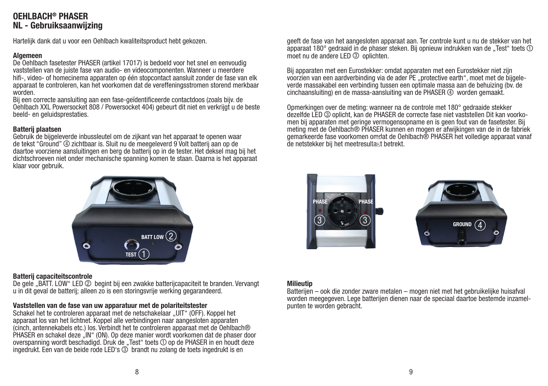# OFHI RACH® PHASER NL - Gebruiksaanwijzing

Hartelijk dank dat u voor een Oehlbach kwaliteitsproduct hebt gekozen.

#### Algemeen

De Oehlbach fasetester PHASER (artikel 17017) is bedoeld voor het snel en eenvoudig vaststellen van de juiste fase van audio- en videocomponenten. Wanneer u meerdere hifi-, video- of homecinema apparaten op één stopcontact aansluit zonder de fase van elk apparaat te controleren, kan het voorkomen dat de vereffeningsstromen storend merkbaar worden.

Bij een correcte aansluiting aan een fase-geïdentificeerde contactdoos (zoals bijv. de Oehlbach XXL Powersocket 808 / Powersocket 404) gebeurt dit niet en verkrijgt u de beste beeld- en geluidsprestaties.

#### Batterij plaatsen

Gebruik de bijgeleverde inbussleutel om de zijkant van het apparaat te openen waar de tekst "Ground" 4 zichtbaar is. Sluit nu de meegeleverd 9 Volt batterij aan op de daartoe voorziene aansluitingen en berg de batterij op in de tester. Het deksel mag bij het dichtschroeven niet onder mechanische spanning komen te staan. Daarna is het apparaat klaar voor gebruik.



#### Batterij capaciteitscontrole

De gele "BATT. LOW" LED 2 begint bij een zwakke batterijcapaciteit te branden. Vervangt u in dit geval de batterij; alleen zo is een storingsvrije werking gegarandeerd.

#### Vaststellen van de fase van uw apparatuur met de polariteitstester

Schakel het te controleren apparaat met de netschakelaar "UIT" (OFF). Koppel het apparaat los van het lichtnet. Koppel alle verbindingen naar aangesloten apparaten (cinch, antennekabels etc.) los. Verbindt het te controleren apparaat met de Oehlbach® PHASER en schakel deze "IN" (ON). Op deze manier wordt voorkomen dat de phaser door overspanning wordt beschadigd. Druk de "Test" toets  $\mathcal D$  op de PHASER in en houdt deze ingedrukt. Een van de beide rode LED's 3 brandt nu zolang de toets ingedrukt is en

geeft de fase van het aangesloten apparaat aan. Ter controle kunt u nu de stekker van het apparaat 180° gedraaid in de phaser steken. Bij opnieuw indrukken van de "Test" toets  $\Omega$ moet nu de andere LED 3 oplichten.

Bij apparaten met een Eurostekker: omdat apparaten met een Eurostekker niet zijn voorzien van een aardverbinding via de ader PE "protective earth", moet met de bijgeleverde massakabel een verbinding tussen een optimale massa aan de behuizing (bv. de cinchaansluiting) en de massa-aansluiting van de PHASER 4 worden gemaakt.

Opmerkingen over de meting: wanneer na de controle met 180° gedraaide stekker dezelfde LED 3 oplicht, kan de PHASER de correcte fase niet vaststellen Dit kan voorkomen bij apparaten met geringe vermogensopname en is geen fout van de fasetester. Bij meting met de Oehlbach® PHASER kunnen en mogen er afwijkingen van de in de fabriek gemarkeerde fase voorkomen omdat de Oehlbach® PHASER het volledige apparaat vanaf de netstekker bij het meetresultaat betrekt.





#### Milieutip

Batterijen – ook die zonder zware metalen – mogen niet met het gebruikelijke huisafval worden meegegeven. Lege batterijen dienen naar de speciaal daartoe bestemde inzamelpunten te worden gebracht.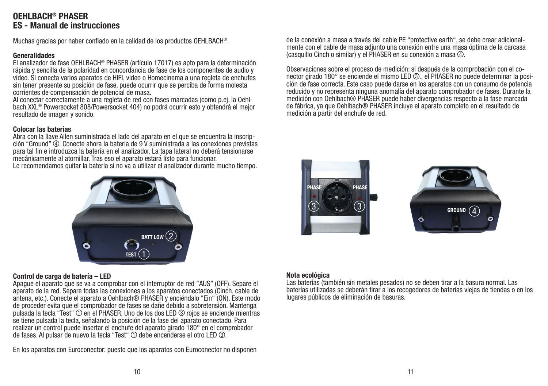# OFHI BACH® PHASER ES - Manual de instrucciones

Muchas gracias por haber confiado en la calidad de los productos OEHLBACH®.

#### Generalidades

El analizador de fase OEHLBACH® PHASER (artículo 17017) es apto para la determinación rápida y sencilla de la polaridad en concordancia de fase de los componentes de audio y vídeo. Si conecta varios aparatos de HIFI, video o Homecinema a una regleta de enchufes sin tener presente su posición de fase, puede ocurrir que se perciba de forma molesta corrientes de compensación de potencial de masa.

Al conectar correctamente a una regleta de red con fases marcadas (como p.ej. la Oehlbach XXL® Powersocket 808/Powersocket 404) no podrá ocurrir esto y obtendrá el mejor resultado de imagen y sonido.

#### Colocar las baterías

Abra con la llave Allen suministrada el lado del aparato en el que se encuentra la inscripción "Ground" 4. Conecte ahora la batería de 9 V suministrada a las conexiones previstas para tal fin e introduzca la batería en el analizador. La tapa lateral no deberá tensionarse mecánicamente al atornillar. Tras eso el aparato estará listo para funcionar.

Le recomendamos quitar la batería si no va a utilizar el analizador durante mucho tiempo.



#### Control de carga de batería – LED

Apague el aparato que se va a comprobar con el interruptor de red "AUS" (OFF). Separe el aparato de la red. Separe todas las conexiones a los aparatos conectados (Cinch, cable de antena, etc.). Conecte el aparato a Oehlbach® PHASER y enciéndalo "Ein" (ON). Este modo de proceder evita que el comprobador de fases se dañe debido a sobretensión. Mantenga pulsada la tecla "Test" ① en el PHASER. Uno de los dos LED ③ rojos se enciende mientras se tiene pulsada la tecla, señalando la posición de la fase del aparato conectado. Para realizar un control puede insertar el enchufe del aparato girado 180° en el comprobador de fases. Al pulsar de nuevo la tecla "Test" ① debe encenderse el otro LED 3.

En los aparatos con Euroconector: puesto que los aparatos con Euroconector no disponen

de la conexión a masa a través del cable PE "protective earth", se debe crear adicionalmente con el cable de masa adjunto una conexión entre una masa óptima de la carcasa (casquillo Cinch o similar) y el PHASER en su conexión a masa  $\Phi$ .

Observaciones sobre el proceso de medición: si después de la comprobación con el conector girado 180° se enciende el mismo LED 3... el PHASER no puede determinar la posición de fase correcta. Este caso puede darse en los aparatos con un consumo de potencia reducido y no representa ninguna anomalía del aparato comprobador de fases. Durante la medición con Oehlbach® PHASER puede haber divergencias respecto a la fase marcada de fábrica, ya que Oehlbach® PHASER incluye el aparato completo en el resultado de medición a partir del enchufe de red.





#### Nota ecológica

Las baterías (también sin metales pesados) no se deben tirar a la basura normal. Las baterías utilizadas se deberán tirar a los recogedores de baterías viejas de tiendas o en los lugares públicos de eliminación de basuras.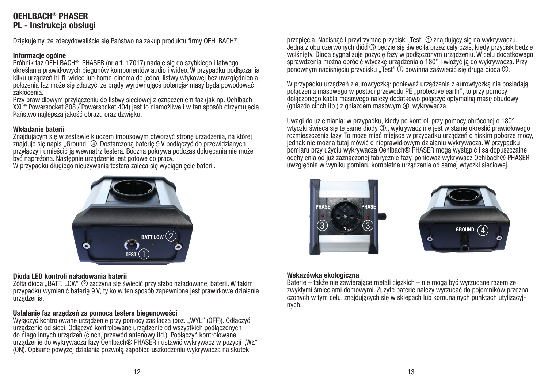# OFHI RACH® PHASER PL - Instrukcja obsługi

Dziękujemy, że zdecydowaliście się Państwo na zakup produktu firmy OEHLBACH®.

#### Informacje ogólne

Próbnik faz OEHLBACH® PHASER (nr art. 17017) nadaje się do szybkiego i łatwego określania prawidłowych biegunów komponentów audio i wideo. W przypadku podłączania kilku urządzeń hi-fi, wideo lub home-cinema do jednaj listwy wtykowej bez uwzględnienia położenia faz może się zdarzyć, że prądy wyrównujące potencjał masy będą powodować zakłócenia.

Przy prawidłowym przyłączeniu do listwy sieciowej z oznaczeniem faz (jak np. Oehlbach XXL® Powersocket 808 / Powersocket 404) jest to niemożliwe i w ten sposób otrzymujecie Państwo najlepszą jakość obrazu oraz dźwięku.

#### Wkładanie baterii

Znajdującym się w zestawie kluczem imbusowym otworzyć stronę urządzenia, na której znajduje się napis "Ground" 4 . Dostarczoną baterię 9 V podłączyć do przewidzianych przyłączy i umieścić ją wewnątrz testera. Boczna pokrywa podczas dokręcania nie może być naprężona. Następnie urządzenie jest gotowe do pracy.

W przypadku długiego nieużywania testera zaleca się wyciągnięcie baterii.



#### Dioda LED kontroli naładowania baterii

Żółta dioda "BATT. LOW" 2 zaczyna się świecić przy słabo naładowanej baterii. W takim przypadku wymienić baterię 9 V; tylko w ten sposób zapewnione jest prawidłowe działanie urządzenia.

#### Ustalanie faz urządzeń za pomocą testera biegunowości

Wyłączyć kontrolowane urządzenie przy pomocy zasilacza (poz. "WYŁ" (OFF)). Odłączyć urządzenie od sieci. Odłączyć kontrolowane urządzenie od wszystkich podłączonych do niego innych urządzeń (cinch, przewód antenowy itd.). Podłączyć kontrolowane urządzenie do wykrywacza fazy Oehlbach® PHASER i ustawić wykrywacz w pozycji "WŁ" (ON). Opisane powyżej działania pozwolą zapobiec uszkodzeniu wykrywacza na skutek

przepięcia. Nacisnąć i przytrzymać przycisk "Test" ① znajdujący się na wykrywaczu. Jedna z obu czerwonych diód 3 będzie się świeciła przez cały czas, kiedy przycisk będzie wciśnięty. Dioda sygnalizuje pozycję fazy w podłączonym urządzeniu. W celu dodatkowego sprawdzenia można obrócić wtyczkę urządzenia o 180° i włożyć ją do wykrywacza. Przy ponownym naciśnieciu przycisku "Test"  $\hat{O}$  powinna zaświecić się druga dioda 3.

W przypadku urządzeń z eurowtyczką: ponieważ urządzenia z eurowtyczką nie posiadają połączenia masowego w postaci przewodu PE "protective earth", to przy pomocy dołączonego kabla masowego należy dodatkowo połączyć optymalną masę obudowy  $\alpha$  (gniazdo cinch itp.) z gniazdem masowym  $\omega$ . wykrywacza.

Uwagi do uziemiania: w przypadku, kiedy po kontroli przy pomocy obróconej o 180° wtyczki świeca się te same diody 3., wykrywacz nie jest w stanie określić prawidłowego rozmieszczenia fazy. To może mieć miejsce w przypadku urządzeń o niskim poborze mocy, jednak nie można tutaj mówić o nieprawidłowym działaniu wykrywacza. W przypadku pomiaru przy użyciu wykrywacza Oehlbach® PHASER mogą wystąpić i są dopuszczalne odchylenia od już zaznaczonej fabrycznie fazy, ponieważ wykrywacz Oehlbach® PHASER uwzględnia w wyniku pomiaru kompletne urządzenie od samej wtyczki sieciowej.





#### Wskazówka ekologiczna

Baterie – także nie zawierające metali ciężkich – nie mogą być wyrzucane razem ze zwykłymi śmieciami domowymi. Zużyte baterie należy wyrzucać do pojemników przeznaczonych w tym celu, znajdujących się w sklepach lub komunalnych punktach utylizacyjnych.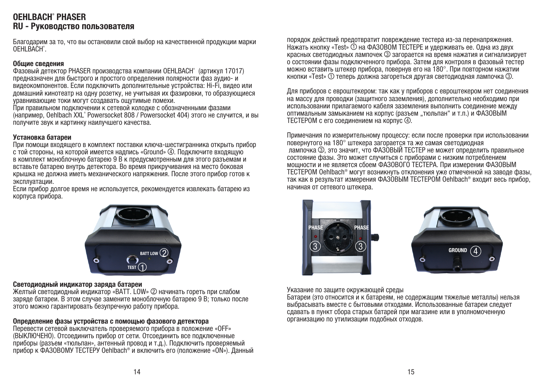## OEHLBACH® PHASER RU - Руководство пользователя

Благодарим за то, что вы остановили свой выбор на качественной продукции марки OEHLBACH®.

#### Общие сведения

Фазовый детектор PHASER производства компании OEHLBACH® (артикул 17017) предназначен для быстрого и простого определения полярности фаз аудио- и видеокомпонентов. Если подключить дополнительные устройства: Hi-Fi, видео или домашний кинотеатр на одну розетку, не учитывая их фазировки, то образующиеся уравнивающие токи могут создавать ощутимые помехи.

При правильном подключении к сетевой колодке с обозначенными фазами (например, Oehlbach XXL® Powersocket 808 / Powersocket 404) этого не случится, и вы получите звук и картинку наилучшего качества.

#### Установка батареи

При помощи входящего в комплект поставки ключа-шестигранника открыть прибор с той стороны, на которой имеется надпись «Ground» 4 . Подключите входящую в комплект моноблочную батарею 9 В к предусмотренным для этого разъемам и вставьте батарею внутрь детектора. Во время прикручивания на место боковая крышка не должна иметь механического напряжения. После этого прибор готов к эксплуатации.

Если прибор долгое время не используется, рекомендуется извлекать батарею из корпуса прибора.



#### Светодиодный индикатор заряда батареи

Желтый светодиодный индикатор «Batt. low» 2 начинать гореть при слабом заряде батареи. В этом случае замените моноблочную батарею 9 В; только после этого можно гарантировать безупречную работу прибора.

#### Определение фазы устройства с помощью фазового детектора

Перевести сетевой выключатель проверяемого прибора в положение «OFF» (ВЫКЛЮЧЕНО). Отсоединить прибор от сети. Отсоединить все подключенные приборы (разъем «тюльпан», антенный провод и т.д.). Подключить проверяемый прибор к ФАЗОВОМУ ТЕСТЕРУ Oehlbach® и включить его (положение «ON»). Данный порядок действий предотвратит повреждение тестера из-за перенапряжения. Нажать кнопку «Test»  $(1)$  на ФАЗОВОМ ТЕСТЕРЕ и удерживать ее. Одна из двух красных светодиодных лампочек 3 загорается на время нажатия и сигнализирует о состоянии фазы подключенного прибора. Затем для контроля в фазовый тестер можно вставить штекер прибора, повернув его на 180°. При повторном нажатии кнопки «Test»  $\odot$  теперь должна загореться другая светодиодная лампочка  $\odot$ .

Для приборов с евроштекером: так как у приборов с евроштекером нет соединения на массу для проводки (защитного заземления), дополнительно необходимо при использовании прилагаемого кабеля заземления выполнить соединение между оптимальным замыканием на корпус (разъем "тюльпан" и т.п.) и ФАЗОВЫМ ТЕСТЕРОМ с его соединением на корпус 4.

Примечания по измерительному процессу: если после проверки при использовании повернутого на 180° штекера загорается та же самая светодиодная лампочка 3. это значит, что ФАЗОВЫЙ ТЕСТЕР не может определить правильное состояние фазы. Это может случиться с приборами с низким потреблением мощности и не является сбоем ФАЗОВОГО ТЕСТЕРА. При измерении ФАЗОВЫМ ТЕСТЕРОМ Oehlbach® могут возникнуть отклонения уже отмеченной на заводе фазы, так как в результат измерения ФАЗОВЫМ ТЕСТЕРОМ Oehlbach® входит весь прибор, начиная от сетевого штекера.





Указание по защите окружающей среды

Батареи (это относится и к батареям, не содержащим тяжелые металлы) нельзя выбрасывать вместе с бытовыми отходами. Использованные батареи следует сдавать в пункт сбора старых батарей при магазине или в уполномоченную организацию по утилизации подобных отходов.